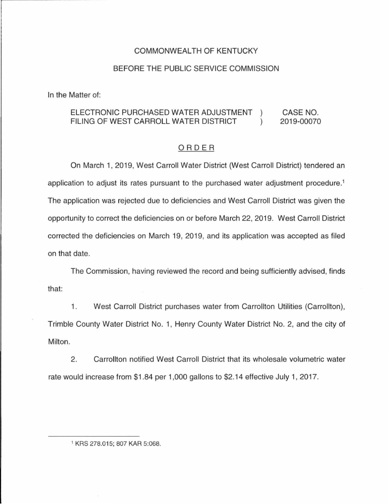## COMMONWEALTH OF KENTUCKY

## BEFORE THE PUBLIC SERVICE COMMISSION

In the Matter of:

## ELECTRONIC PURCHASED WATER ADJUSTMENT CASE NO.  $\left( \right)$ FILING OF WEST CARROLL WATER DISTRICT  $\lambda$ 2019-00070

## ORDER

On March 1, 2019, West Carroll Water District (West Carroll District) tendered an application to adjust its rates pursuant to the purchased water adjustment procedure. 1 The application was rejected due to deficiencies and West Carroll District was given the opportunity to correct the deficiencies on or before March 22, 2019. West Carroll District corrected the deficiencies on March 19, 2019, and its application was accepted as filed on that date.

The Commission, having reviewed the record and being sufficiently advised, finds that:

1. West Carroll District purchases water from Carrollton Utilities (Carrollton), Trimble County Water District No. 1, Henry County Water District No. 2, and the city of Milton.

2. Carrollton notified West Carroll District that its wholesale volumetric water rate would increase from \$1 .84 per 1,000 gallons to \$2.14 effective July 1, 2017.

<sup>1</sup> KRS 278.015; 807 KAR 5:068.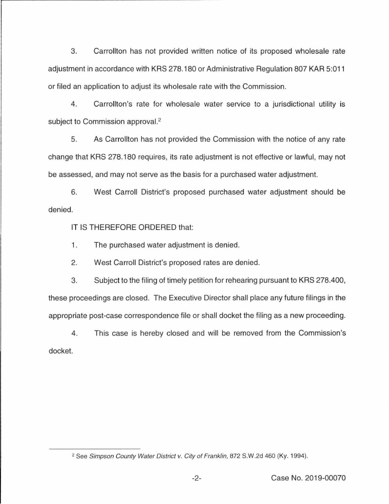3. Carrollton has not provided written notice of its proposed wholesale rate adjustment in accordance with KRS 278.180 or Administrative Regulation 807 KAR 5:011 or filed an application to adjust its wholesale rate with the Commission.

4. Carrollton's rate for wholesale water service to a jurisdictional utility is subject to Commission approval.<sup>2</sup>

5. As Carrollton has not provided the Commission with the notice of any rate change that KRS 278.180 requires, its rate adjustment is not effective or lawful, may not be assessed, and may not serve as the basis for a purchased water adjustment.

6. West Carroll District's proposed purchased water adjustment should be denied.

IT IS THEREFORE ORDERED that:

1. The purchased water adjustment is denied.

2. West Carroll District's proposed rates are denied.

3. Subject to the filing of timely petition for rehearing pursuant to KRS 278.400, these proceedings are closed. The Executive Director shall place any future filings in the appropriate post-case correspondence file or shall docket the filing as a new proceeding.

4. This case is hereby closed and will be removed from the Commission's docket.

<sup>&</sup>lt;sup>2</sup> See Simpson County Water District v. City of Franklin, 872 S.W.2d 460 (Ky. 1994).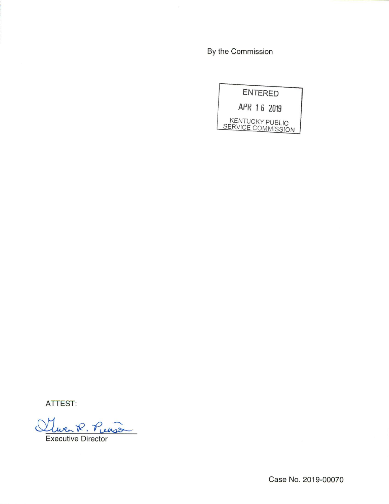By the Commission



ATTEST:

R. Purso

**Executive Director** 

Case No. 2019-00070